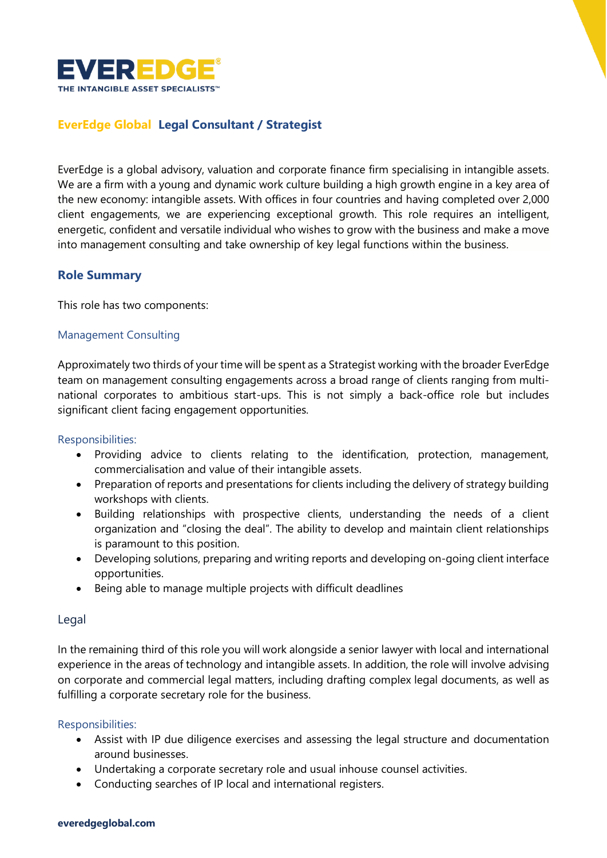

# **EverEdge Global Legal Consultant / Strategist**

EverEdge is a global advisory, valuation and corporate finance firm specialising in intangible assets. We are a firm with a young and dynamic work culture building a high growth engine in a key area of the new economy: intangible assets. With offices in four countries and having completed over 2,000 client engagements, we are experiencing exceptional growth. This role requires an intelligent, energetic, confident and versatile individual who wishes to grow with the business and make a move into management consulting and take ownership of key legal functions within the business.

## **Role Summary**

This role has two components:

### Management Consulting

Approximately two thirds of your time will be spent as a Strategist working with the broader EverEdge team on management consulting engagements across a broad range of clients ranging from multinational corporates to ambitious start-ups. This is not simply a back-office role but includes significant client facing engagement opportunities.

### Responsibilities:

- Providing advice to clients relating to the identification, protection, management, commercialisation and value of their intangible assets.
- Preparation of reports and presentations for clients including the delivery of strategy building workshops with clients.
- Building relationships with prospective clients, understanding the needs of a client organization and "closing the deal". The ability to develop and maintain client relationships is paramount to this position.
- Developing solutions, preparing and writing reports and developing on-going client interface opportunities.
- Being able to manage multiple projects with difficult deadlines

### Legal

In the remaining third of this role you will work alongside a senior lawyer with local and international experience in the areas of technology and intangible assets. In addition, the role will involve advising on corporate and commercial legal matters, including drafting complex legal documents, as well as fulfilling a corporate secretary role for the business.

### Responsibilities:

- Assist with IP due diligence exercises and assessing the legal structure and documentation around businesses.
- Undertaking a corporate secretary role and usual inhouse counsel activities.
- Conducting searches of IP local and international registers.